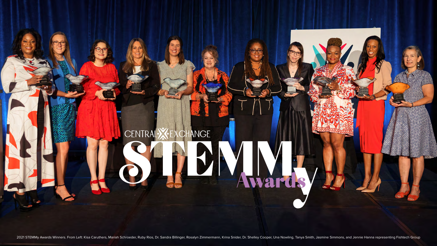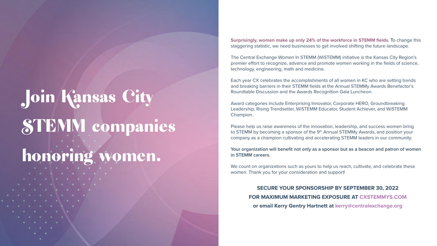# Join Kansas City STEMM companies

## honoring women.

**Surprisingly, women make up only 24% of the workforce in STEMM fields.** To change this staggering statistic, we need businesses to get involved shifting the future landscape.

The Central Exchange Women In STEMM (WiSTEMM) initiative is the Kansas City Region's premier effort to recognize, advance and promote women working in the fields of science, technology, engineering, math and medicine.

Each year CX celebrates the accomplishments of all women in KC who are setting trends and breaking barriers in their STEMM fields at the Annual STEMMy Awards Benefactor's Roundtable Discussion and the Awards Recognition Gala Luncheon.

We count on organizations such as yours to help us reach, cultivate, and celebrate these women. Thank you for your consideration and support!

Award categories include Enterprising Innovator, Corporate HERO, Groundbreaking Leadership, Rising Trendsetter, WiSTEMM Educator, Student Achiever, and WiSTEMM Champion.

Please help us raise awareness of the innovation, leadership, and success women bring to STEMM by becoming a sponsor of the 9<sup>th</sup> Annual STEMMy Awards, and position your company as a champion cultivating and accelerating STEMM leaders in our community.

**Your organization will benefit not only as a sponsor but as a beacon and patron of women in STEMM careers.**

**SECURE YOUR SPONSORSHIP BY SEPTEMBER 30, 2022 FOR MAXIMUM MARKETING EXPOSURE AT [CXSTEMMYS.COM](mailto:https://centralexchange.org/stemmy-awards?subject=) or email Kerry Gentry Hartnett at [kerry@centralexchange.org](mailto:kerry%40centralexchange.org?subject=)**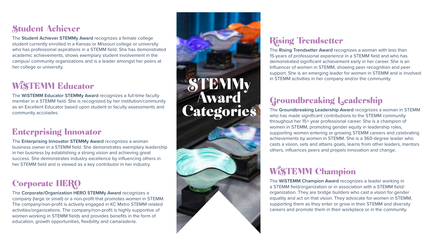### Student Achiever

The **Student Achiever STEMMy Award** recognizes a female college student currently enrolled in a Kansas or Missouri college or university who has professional aspirations in a STEMM field. She has demonstrated academic achievements, shows exemplary student involvement in the campus/ community organizations and is a leader amongst her peers at her college or university.

### WiSTEMM Educator

The **WiSTEMM Educator STEMMy Award** recognizes a full-time faculty member in a STEMM field. She is recognized by her institution/community as an Excellent Educator based upon student or faculty assessments and community accolades.

### Enterprising Innovator

The **Enterprising Innovator STEMMy Award** recognizes a woman business owner in a STEMM field. She demonstrates exemplary leadership in her business by establishing a strong vision and achieving great success. She demonstrates industry excellence by influencing others in her STEMM field and is viewed as a key contributor in her industry.

### Corporate HERO

The **Corporate/Organization HERO STEMMy Award** recognizes a company (large or small) or a non-profit that promotes women in STEMM. The company/non-profit is actively engaged in KC Metro STEMM related activities/organizations. The company/non-profit is highly supportive of women working in STEMM fields and provides benefits in the form of education, growth opportunities, flexibility and camaraderie.



### Rising Trendsetter

The **Rising Trendsetter Award** recognizes a woman with less than 15-years of professional experience in a STEMM field and who has demonstrated significant achievement early in her career. She is an Influencer of women in STEMM, showing peer recognition and peer support. She is an emerging leader for women in STEMM and is involved in STEMM activities in her company and/or the community.

### Groundbreaking Leadership

The **Groundbreaking Leadership Award** recognizes a woman in STEMM who has made significant contributions to the STEMM community throughout her 15+ year professional career. She is a champion of women in STEMM, promoting gender equity in leadership roles, supporting women entering or growing STEMM careers and celebrating achievements by women in STEMM. She is a 360-degree leader who casts a vision, sets and attains goals, learns from other leaders, mentors others, influences peers and propels innovation and change.

### WiSTEMM Champion

The **WiSTEMM Champion Award** recognizes a leader working in a STEMM field/organization or in association with a STEMM field/ organization. They are bridge builders who cast a vision for gender equality and act on that vision. They advocate for women in STEMM, supporting them as they enter or grow in their STEMM and diversity careers and promote them in their workplace or in the community.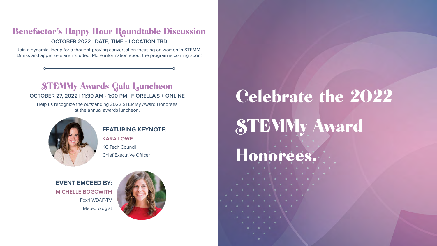# Celebrate the 2022 STEMMy Award

# Honorees.

### Benefactor's Happy Hour Roundtable Discussion **OCTOBER 2022 | DATE, TIME + LOCATION TBD**

Join a dynamic lineup for a thought-proving conversation focusing on women in STEMM. Drinks and appetizers are included. More information about the program is coming soon!

### STEMMy Awards Gala Luncheon

### **OCTOBER 27, 2022 | 11:30 AM - 1:00 PM | FIORELLA'S + ONLINE**

Help us recognize the outstanding 2022 STEMMy Award Honorees at the annual awards luncheon.



### **FEATURING KEYNOTE:**

**KARA LOWE** KC Tech Council Chief Executive Officer

**EVENT EMCEED BY: MICHELLE BOGOWITH** Fox4 WDAF-TV Meteorologist

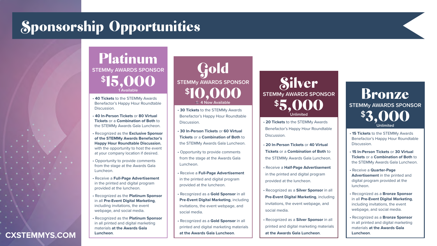### Sponsorship Opportunities

Platinum **STEMMy AWARDS SPONSOR**  $$15,000$ 

- **40 Tickets** to the STEMMy Awards Benefactor's Happy Hour Roundtable Discussion.
- **40 In-Person Tickets** or **80 Virtual Tickets** or a **Combination of Both** to the STEMMy Awards Gala Luncheon.
- Recognized as the **Exclusive Sponsor of the STEMMy Awards Benefactor's Happy Hour Roundtable Discussion**, with the opportunity to host the event at your company location if desired.
- Opportunity to provide comments from the stage at the Awards Gala Luncheon.
- Receive a **Full-Page Advertisement** in the printed and digital program provided at the luncheon.
- Recognized as the **Platinum Sponsor** in all **Pre-Event Digital Marketing**, including invitations, the event webpage, and social media.
- Recognized as the **Platinum Sponsor** in all printed and digital marketing materials **at the Awards Gala Luncheon**.

**1 Available**

- **15 Tickets** to the STEMMy Awards Benefactor's Happy Hour Roundtable Discussion.
- **15 In-Person Tickets** or **30 Virtual Tickets** or a **Combination of Both** to the STEMMy Awards Gala Luncheon.
- Receive a **Quarter-Page Advertisement** in the printed and digital program provided at the luncheon.
- Recognized as a **Bronze Sponsor** in all **Pre-Event Digital Marketing**, including invitations, the event webpage, and social media.
- Recognized as a **Bronze Sponsor** in all printed and digital marketing materials **at the Awards Gala Luncheon**.

### Bronze **STEMMy AWARDS SPONSOR** \$3,000 **Unlimited**

- **30 Tickets** to the STEMMy Awards Benefactor's Happy Hour Roundtable Discussion.
- **30 In-Person Tickets** or **60 Virtual Tickets** or a **Combination of Both** to the STEMMy Awards Gala Luncheon.
- Opportunity to provide comments from the stage at the Awards Gala Luncheon.
- Receive a **Full-Page Advertisement** in the printed and digital program provided at the luncheon.
- Recognized as a **Gold Sponsor** in all **Pre-Event Digital Marketing**, including invitations, the event webpage, and social media.
- Recognized as a **Gold Sponsor** in all printed and digital marketing materials **at the Awards Gala Luncheon**.
- **20 Tickets** to the STEMMy Awards Benefactor's Happy Hour Roundtable Discussion.
- **20 In-Person Tickets** or **40 Virtual Tickets** or a **Combination of Both** to the STEMMy Awards Gala Luncheon.
- Receive a **Half-Page Advertisement** in the printed and digital program provided at the luncheon.
- Recognized as a **Silver Sponsor** in all **Pre-Event Digital Marketing**, including invitations, the event webpage, and social media.
- Recognized as a **Silver Sponsor** in all printed and digital marketing materials **at the Awards Gala Luncheon**.

### Silver **STEMMy AWARDS SPONSOR** \$5,000 **Unlimited**

**CXSTEMMYS.COM**

### Gold **STEMMy AWARDS SPONSOR** \$10,000 5 **4 Now Available**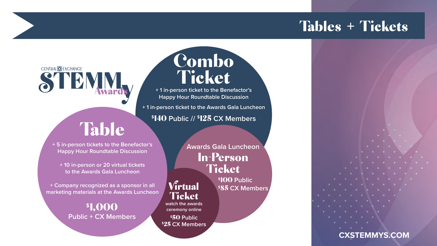### CENTRAL**X**EXCHANGE STRM

### Tables + Tickets



Combo

Ticket

**+ 1 in-person ticket to the Benefactor's Happy Hour Roundtable Discussion** 

**+ 1 in-person ticket to the Awards Gala Luncheon**

**\$**140 **Public // \$**125 **CX Members** 

### Table

**\$**100 **Public Wirtual** \$85 CX Members

**+ 5 in-person tickets to the Benefactor's Happy Hour Roundtable Discussion** 

### In-Person **Ticket Awards Gala Luncheon**

**Ticket** 

**+ 10 in-person or 20 virtual tickets to the Awards Gala Luncheon** 

**+ Company recognized as a sponsor in all marketing materials at the Awards Luncheon** 

### **\$**1,000 **Public + CX Members**

**watch the awards ceremony online**

**\$**50 **Public \$**25 **CX Members** 

**[CXSTEMMYS.COM](https://centralexchange.org/stemmy-awards/)**